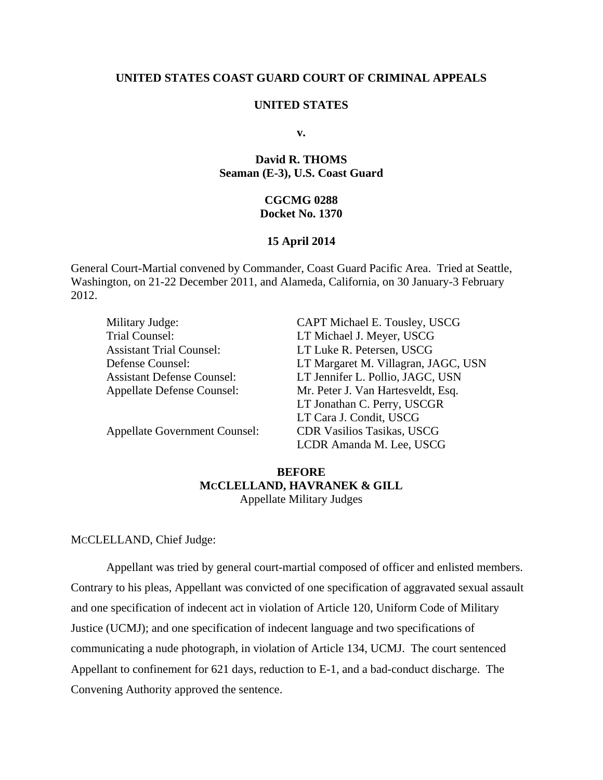# **UNITED STATES COAST GUARD COURT OF CRIMINAL APPEALS**

## **UNITED STATES**

**v.** 

# **David R. THOMS Seaman (E-3), U.S. Coast Guard**

### **CGCMG 0288 Docket No. 1370**

#### **15 April 2014**

General Court-Martial convened by Commander, Coast Guard Pacific Area. Tried at Seattle, Washington, on 21-22 December 2011, and Alameda, California, on 30 January-3 February 2012.

| Military Judge:                      | CAPT Michael E. Tousley, USCG       |
|--------------------------------------|-------------------------------------|
| Trial Counsel:                       | LT Michael J. Meyer, USCG           |
| <b>Assistant Trial Counsel:</b>      | LT Luke R. Petersen, USCG           |
| Defense Counsel:                     | LT Margaret M. Villagran, JAGC, USN |
| <b>Assistant Defense Counsel:</b>    | LT Jennifer L. Pollio, JAGC, USN    |
| <b>Appellate Defense Counsel:</b>    | Mr. Peter J. Van Hartesveldt, Esq.  |
|                                      | LT Jonathan C. Perry, USCGR         |
|                                      | LT Cara J. Condit, USCG             |
| <b>Appellate Government Counsel:</b> | <b>CDR Vasilios Tasikas, USCG</b>   |
|                                      | LCDR Amanda M. Lee, USCG            |

# **BEFORE MCCLELLAND, HAVRANEK & GILL**  Appellate Military Judges

### MCCLELLAND, Chief Judge:

Appellant was tried by general court-martial composed of officer and enlisted members. Contrary to his pleas, Appellant was convicted of one specification of aggravated sexual assault and one specification of indecent act in violation of Article 120, Uniform Code of Military Justice (UCMJ); and one specification of indecent language and two specifications of communicating a nude photograph, in violation of Article 134, UCMJ. The court sentenced Appellant to confinement for 621 days, reduction to E-1, and a bad-conduct discharge. The Convening Authority approved the sentence.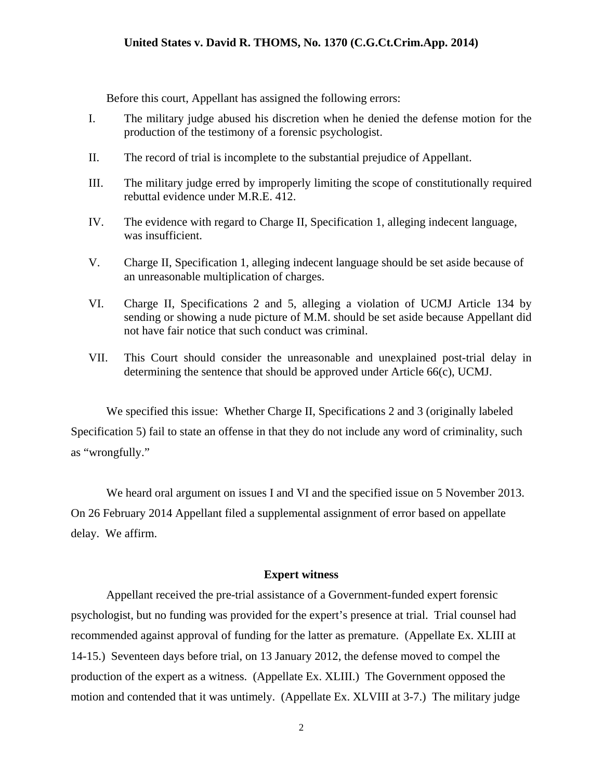Before this court, Appellant has assigned the following errors:

- I. The military judge abused his discretion when he denied the defense motion for the production of the testimony of a forensic psychologist.
- II. The record of trial is incomplete to the substantial prejudice of Appellant.
- III. The military judge erred by improperly limiting the scope of constitutionally required rebuttal evidence under M.R.E. 412.
- IV. The evidence with regard to Charge II, Specification 1, alleging indecent language, was insufficient.
- V. Charge II, Specification 1, alleging indecent language should be set aside because of an unreasonable multiplication of charges.
- VI. Charge II, Specifications 2 and 5, alleging a violation of UCMJ Article 134 by sending or showing a nude picture of M.M. should be set aside because Appellant did not have fair notice that such conduct was criminal.
- VII. This Court should consider the unreasonable and unexplained post-trial delay in determining the sentence that should be approved under Article 66(c), UCMJ.

We specified this issue: Whether Charge II, Specifications 2 and 3 (originally labeled Specification 5) fail to state an offense in that they do not include any word of criminality, such as "wrongfully."

We heard oral argument on issues I and VI and the specified issue on 5 November 2013. On 26 February 2014 Appellant filed a supplemental assignment of error based on appellate delay. We affirm.

## **Expert witness**

Appellant received the pre-trial assistance of a Government-funded expert forensic psychologist, but no funding was provided for the expert's presence at trial. Trial counsel had recommended against approval of funding for the latter as premature. (Appellate Ex. XLIII at 14-15.) Seventeen days before trial, on 13 January 2012, the defense moved to compel the production of the expert as a witness. (Appellate Ex. XLIII.) The Government opposed the motion and contended that it was untimely. (Appellate Ex. XLVIII at 3-7.) The military judge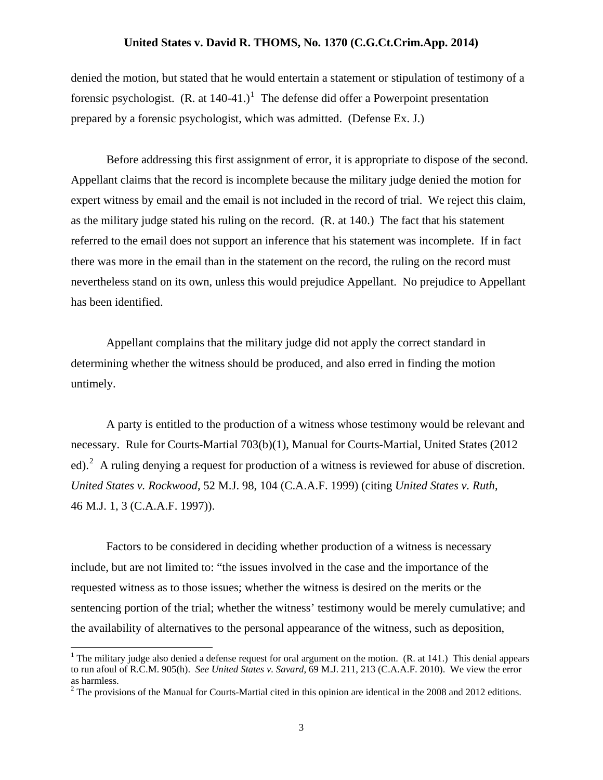denied the motion, but stated that he would entertain a statement or stipulation of testimony of a forensic psychologist.  $(R. at 140-41.)$  $(R. at 140-41.)$  $(R. at 140-41.)$ <sup>1</sup> The defense did offer a Powerpoint presentation prepared by a forensic psychologist, which was admitted. (Defense Ex. J.)

Before addressing this first assignment of error, it is appropriate to dispose of the second. Appellant claims that the record is incomplete because the military judge denied the motion for expert witness by email and the email is not included in the record of trial. We reject this claim, as the military judge stated his ruling on the record. (R. at 140.) The fact that his statement referred to the email does not support an inference that his statement was incomplete. If in fact there was more in the email than in the statement on the record, the ruling on the record must nevertheless stand on its own, unless this would prejudice Appellant. No prejudice to Appellant has been identified.

Appellant complains that the military judge did not apply the correct standard in determining whether the witness should be produced, and also erred in finding the motion untimely.

A party is entitled to the production of a witness whose testimony would be relevant and necessary. Rule for Courts-Martial 703(b)(1), Manual for Courts-Martial, United States (2012 ed).<sup>[2](#page-2-1)</sup> A ruling denying a request for production of a witness is reviewed for abuse of discretion. *United States v. Rockwood*, 52 M.J. 98, 104 (C.A.A.F. 1999) (citing *United States v. Ruth*, 46 M.J. 1, 3 (C.A.A.F. 1997)).

Factors to be considered in deciding whether production of a witness is necessary include, but are not limited to: "the issues involved in the case and the importance of the requested witness as to those issues; whether the witness is desired on the merits or the sentencing portion of the trial; whether the witness' testimony would be merely cumulative; and the availability of alternatives to the personal appearance of the witness, such as deposition,

 $\overline{a}$ 

<span id="page-2-0"></span><sup>&</sup>lt;sup>1</sup> The military judge also denied a defense request for oral argument on the motion. (R. at 141.) This denial appears to run afoul of R.C.M. 905(h). *See United States v. Savard*, 69 M.J. 211, 213 (C.A.A.F. 2010). We view the error as harmless.

<span id="page-2-1"></span> $2^2$  The provisions of the Manual for Courts-Martial cited in this opinion are identical in the 2008 and 2012 editions.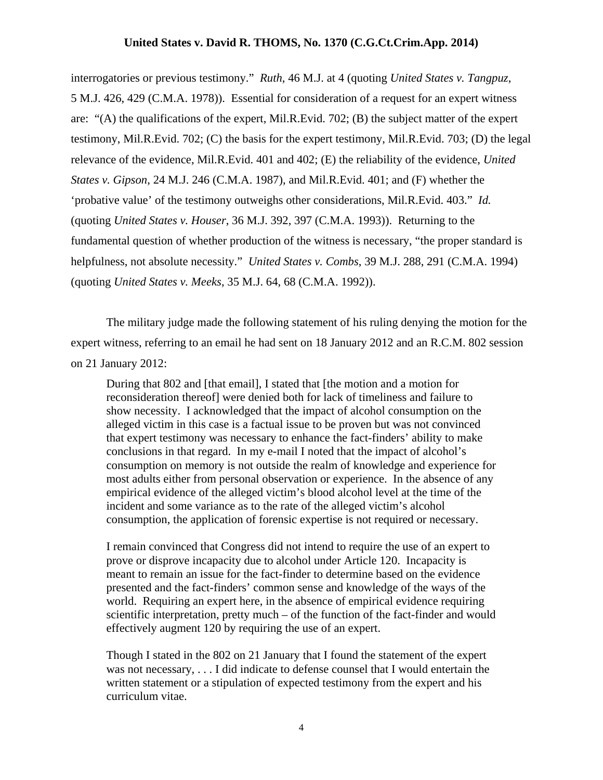interrogatories or previous testimony." *Ruth*, 46 M.J. at 4 (quoting *United States v. Tangpuz*, 5 M.J. 426, 429 (C.M.A. 1978)). Essential for consideration of a request for an expert witness are: "(A) the qualifications of the expert, Mil.R.Evid. 702; (B) the subject matter of the expert testimony, Mil.R.Evid. 702; (C) the basis for the expert testimony, Mil.R.Evid. 703; (D) the legal relevance of the evidence, Mil.R.Evid. 401 and 402; (E) the reliability of the evidence, *United States v. Gipson*, 24 M.J. 246 (C.M.A. 1987), and Mil.R.Evid. 401; and (F) whether the 'probative value' of the testimony outweighs other considerations, Mil.R.Evid. 403." *Id.* (quoting *United States v. Houser*, 36 M.J. 392, 397 (C.M.A. 1993)). Returning to the fundamental question of whether production of the witness is necessary, "the proper standard is helpfulness, not absolute necessity." *United States v. Combs*, 39 M.J. 288, 291 (C.M.A. 1994) (quoting *United States v. Meeks*, 35 M.J. 64, 68 (C.M.A. 1992)).

The military judge made the following statement of his ruling denying the motion for the expert witness, referring to an email he had sent on 18 January 2012 and an R.C.M. 802 session on 21 January 2012:

During that 802 and [that email], I stated that [the motion and a motion for reconsideration thereof] were denied both for lack of timeliness and failure to show necessity. I acknowledged that the impact of alcohol consumption on the alleged victim in this case is a factual issue to be proven but was not convinced that expert testimony was necessary to enhance the fact-finders' ability to make conclusions in that regard. In my e-mail I noted that the impact of alcohol's consumption on memory is not outside the realm of knowledge and experience for most adults either from personal observation or experience. In the absence of any empirical evidence of the alleged victim's blood alcohol level at the time of the incident and some variance as to the rate of the alleged victim's alcohol consumption, the application of forensic expertise is not required or necessary.

I remain convinced that Congress did not intend to require the use of an expert to prove or disprove incapacity due to alcohol under Article 120. Incapacity is meant to remain an issue for the fact-finder to determine based on the evidence presented and the fact-finders' common sense and knowledge of the ways of the world. Requiring an expert here, in the absence of empirical evidence requiring scientific interpretation, pretty much – of the function of the fact-finder and would effectively augment 120 by requiring the use of an expert.

Though I stated in the 802 on 21 January that I found the statement of the expert was not necessary, . . . I did indicate to defense counsel that I would entertain the written statement or a stipulation of expected testimony from the expert and his curriculum vitae.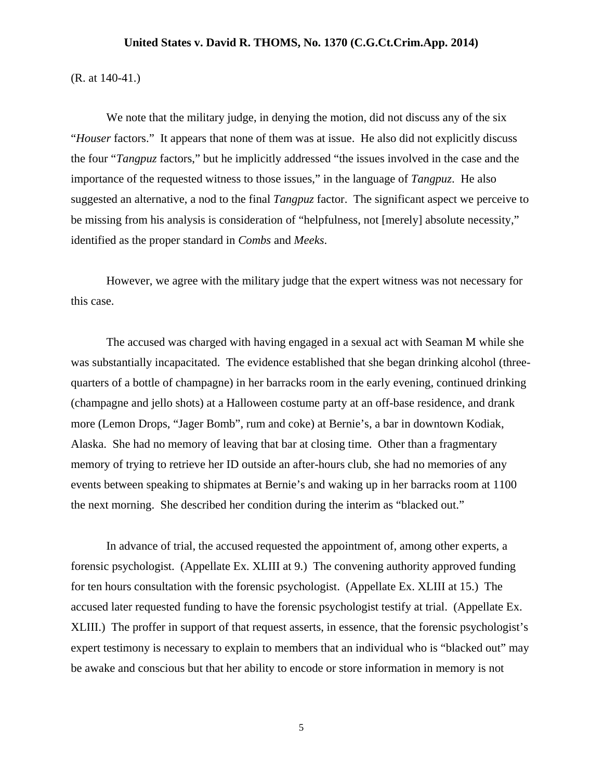(R. at 140-41.)

We note that the military judge, in denying the motion, did not discuss any of the six "*Houser* factors." It appears that none of them was at issue. He also did not explicitly discuss the four "*Tangpuz* factors," but he implicitly addressed "the issues involved in the case and the importance of the requested witness to those issues," in the language of *Tangpuz*. He also suggested an alternative, a nod to the final *Tangpuz* factor. The significant aspect we perceive to be missing from his analysis is consideration of "helpfulness, not [merely] absolute necessity," identified as the proper standard in *Combs* and *Meeks*.

However, we agree with the military judge that the expert witness was not necessary for this case.

The accused was charged with having engaged in a sexual act with Seaman M while she was substantially incapacitated. The evidence established that she began drinking alcohol (threequarters of a bottle of champagne) in her barracks room in the early evening, continued drinking (champagne and jello shots) at a Halloween costume party at an off-base residence, and drank more (Lemon Drops, "Jager Bomb", rum and coke) at Bernie's, a bar in downtown Kodiak, Alaska. She had no memory of leaving that bar at closing time. Other than a fragmentary memory of trying to retrieve her ID outside an after-hours club, she had no memories of any events between speaking to shipmates at Bernie's and waking up in her barracks room at 1100 the next morning. She described her condition during the interim as "blacked out."

In advance of trial, the accused requested the appointment of, among other experts, a forensic psychologist. (Appellate Ex. XLIII at 9.) The convening authority approved funding for ten hours consultation with the forensic psychologist. (Appellate Ex. XLIII at 15.) The accused later requested funding to have the forensic psychologist testify at trial. (Appellate Ex. XLIII.) The proffer in support of that request asserts, in essence, that the forensic psychologist's expert testimony is necessary to explain to members that an individual who is "blacked out" may be awake and conscious but that her ability to encode or store information in memory is not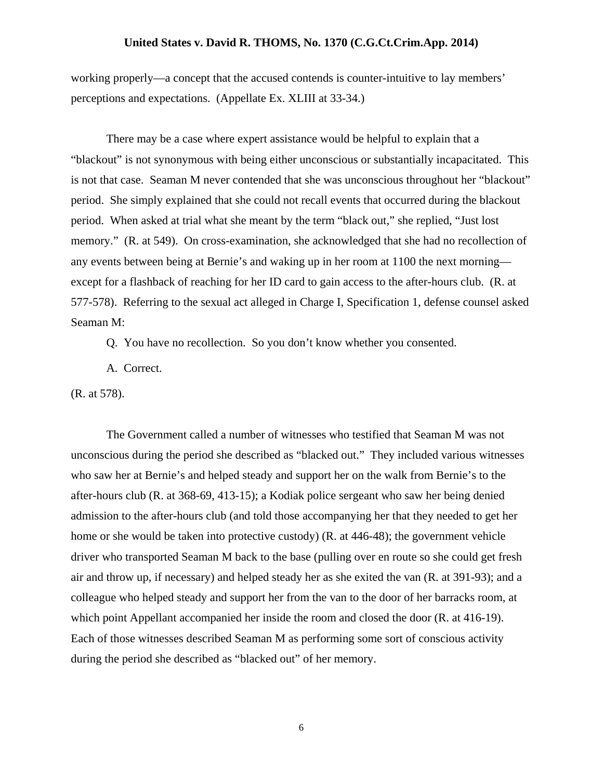working properly—a concept that the accused contends is counter-intuitive to lay members' perceptions and expectations. (Appellate Ex. XLIII at 33-34.)

There may be a case where expert assistance would be helpful to explain that a "blackout" is not synonymous with being either unconscious or substantially incapacitated. This is not that case. Seaman M never contended that she was unconscious throughout her "blackout" period. She simply explained that she could not recall events that occurred during the blackout period. When asked at trial what she meant by the term "black out," she replied, "Just lost memory." (R. at 549). On cross-examination, she acknowledged that she had no recollection of any events between being at Bernie's and waking up in her room at 1100 the next morning except for a flashback of reaching for her ID card to gain access to the after-hours club. (R. at 577-578). Referring to the sexual act alleged in Charge I, Specification 1, defense counsel asked Seaman M:

Q. You have no recollection. So you don't know whether you consented.

A. Correct.

(R. at 578).

The Government called a number of witnesses who testified that Seaman M was not unconscious during the period she described as "blacked out." They included various witnesses who saw her at Bernie's and helped steady and support her on the walk from Bernie's to the after-hours club (R. at 368-69, 413-15); a Kodiak police sergeant who saw her being denied admission to the after-hours club (and told those accompanying her that they needed to get her home or she would be taken into protective custody) (R. at 446-48); the government vehicle driver who transported Seaman M back to the base (pulling over en route so she could get fresh air and throw up, if necessary) and helped steady her as she exited the van (R. at 391-93); and a colleague who helped steady and support her from the van to the door of her barracks room, at which point Appellant accompanied her inside the room and closed the door (R. at 416-19). Each of those witnesses described Seaman M as performing some sort of conscious activity during the period she described as "blacked out" of her memory.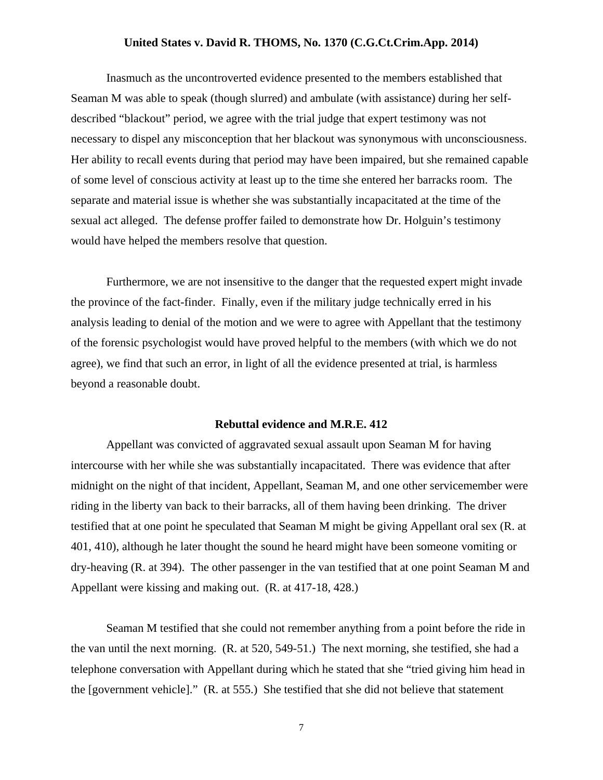Inasmuch as the uncontroverted evidence presented to the members established that Seaman M was able to speak (though slurred) and ambulate (with assistance) during her selfdescribed "blackout" period, we agree with the trial judge that expert testimony was not necessary to dispel any misconception that her blackout was synonymous with unconsciousness. Her ability to recall events during that period may have been impaired, but she remained capable of some level of conscious activity at least up to the time she entered her barracks room. The separate and material issue is whether she was substantially incapacitated at the time of the sexual act alleged. The defense proffer failed to demonstrate how Dr. Holguin's testimony would have helped the members resolve that question.

Furthermore, we are not insensitive to the danger that the requested expert might invade the province of the fact-finder. Finally, even if the military judge technically erred in his analysis leading to denial of the motion and we were to agree with Appellant that the testimony of the forensic psychologist would have proved helpful to the members (with which we do not agree), we find that such an error, in light of all the evidence presented at trial, is harmless beyond a reasonable doubt.

### **Rebuttal evidence and M.R.E. 412**

Appellant was convicted of aggravated sexual assault upon Seaman M for having intercourse with her while she was substantially incapacitated. There was evidence that after midnight on the night of that incident, Appellant, Seaman M, and one other servicemember were riding in the liberty van back to their barracks, all of them having been drinking. The driver testified that at one point he speculated that Seaman M might be giving Appellant oral sex (R. at 401, 410), although he later thought the sound he heard might have been someone vomiting or dry-heaving (R. at 394). The other passenger in the van testified that at one point Seaman M and Appellant were kissing and making out. (R. at 417-18, 428.)

Seaman M testified that she could not remember anything from a point before the ride in the van until the next morning. (R. at 520, 549-51.) The next morning, she testified, she had a telephone conversation with Appellant during which he stated that she "tried giving him head in the [government vehicle]." (R. at 555.) She testified that she did not believe that statement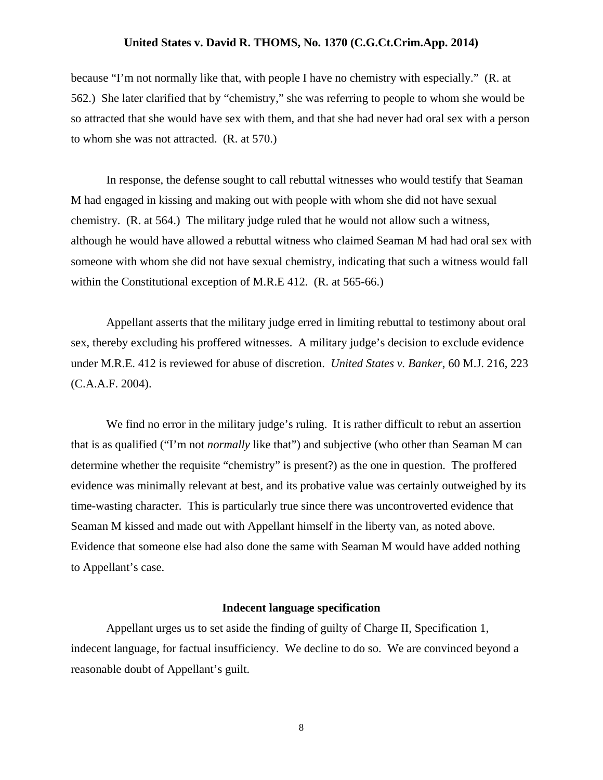because "I'm not normally like that, with people I have no chemistry with especially." (R. at 562.) She later clarified that by "chemistry," she was referring to people to whom she would be so attracted that she would have sex with them, and that she had never had oral sex with a person to whom she was not attracted. (R. at 570.)

In response, the defense sought to call rebuttal witnesses who would testify that Seaman M had engaged in kissing and making out with people with whom she did not have sexual chemistry. (R. at 564.) The military judge ruled that he would not allow such a witness, although he would have allowed a rebuttal witness who claimed Seaman M had had oral sex with someone with whom she did not have sexual chemistry, indicating that such a witness would fall within the Constitutional exception of M.R.E 412. (R. at 565-66.)

Appellant asserts that the military judge erred in limiting rebuttal to testimony about oral sex, thereby excluding his proffered witnesses. A military judge's decision to exclude evidence under M.R.E. 412 is reviewed for abuse of discretion. *United States v. Banker*, 60 M.J. 216, 223 (C.A.A.F. 2004).

We find no error in the military judge's ruling. It is rather difficult to rebut an assertion that is as qualified ("I'm not *normally* like that") and subjective (who other than Seaman M can determine whether the requisite "chemistry" is present?) as the one in question. The proffered evidence was minimally relevant at best, and its probative value was certainly outweighed by its time-wasting character. This is particularly true since there was uncontroverted evidence that Seaman M kissed and made out with Appellant himself in the liberty van, as noted above. Evidence that someone else had also done the same with Seaman M would have added nothing to Appellant's case.

#### **Indecent language specification**

Appellant urges us to set aside the finding of guilty of Charge II, Specification 1, indecent language, for factual insufficiency. We decline to do so. We are convinced beyond a reasonable doubt of Appellant's guilt.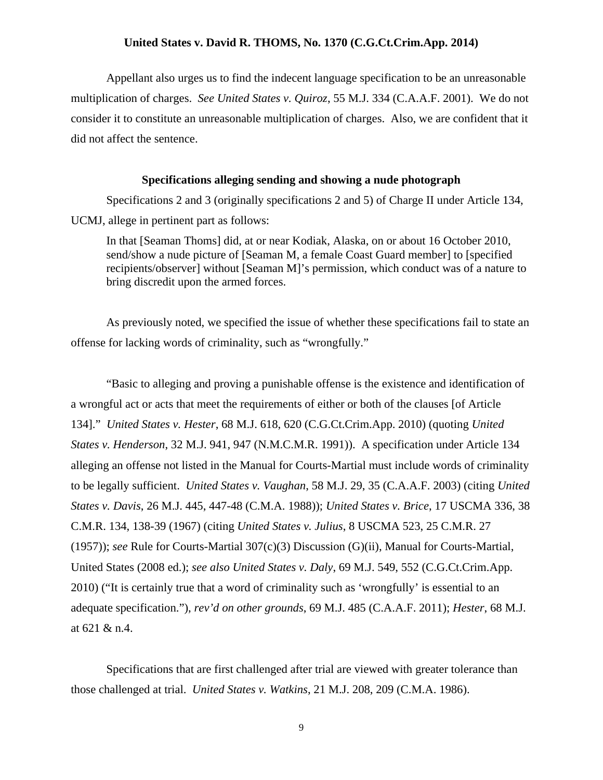Appellant also urges us to find the indecent language specification to be an unreasonable multiplication of charges. *See United States v. Quiroz*, 55 M.J. 334 (C.A.A.F. 2001). We do not consider it to constitute an unreasonable multiplication of charges. Also, we are confident that it did not affect the sentence.

#### **Specifications alleging sending and showing a nude photograph**

Specifications 2 and 3 (originally specifications 2 and 5) of Charge II under Article 134, UCMJ, allege in pertinent part as follows:

In that [Seaman Thoms] did, at or near Kodiak, Alaska, on or about 16 October 2010, send/show a nude picture of [Seaman M, a female Coast Guard member] to [specified] recipients/observer] without [Seaman M]'s permission, which conduct was of a nature to bring discredit upon the armed forces.

As previously noted, we specified the issue of whether these specifications fail to state an offense for lacking words of criminality, such as "wrongfully."

"Basic to alleging and proving a punishable offense is the existence and identification of a wrongful act or acts that meet the requirements of either or both of the clauses [of Article 134]." *United States v. Hester*, 68 M.J. 618, 620 (C.G.Ct.Crim.App. 2010) (quoting *United States v. Henderson*, 32 M.J. 941, 947 (N.M.C.M.R. 1991)). A specification under Article 134 alleging an offense not listed in the Manual for Courts-Martial must include words of criminality to be legally sufficient. *United States v. Vaughan*, 58 M.J. 29, 35 (C.A.A.F. 2003) (citing *United States v. Davis*, 26 M.J. 445, 447-48 (C.M.A. 1988)); *United States v. Brice*, 17 USCMA 336, 38 C.M.R. 134, 138-39 (1967) (citing *United States v. Julius*, 8 USCMA 523, 25 C.M.R. 27 (1957)); *see* Rule for Courts-Martial 307(c)(3) Discussion (G)(ii), Manual for Courts-Martial, United States (2008 ed.); *see also United States v. Daly*, 69 M.J. 549, 552 (C.G.Ct.Crim.App. 2010) ("It is certainly true that a word of criminality such as 'wrongfully' is essential to an adequate specification."), *rev'd on other grounds*, 69 M.J. 485 (C.A.A.F. 2011); *Hester*, 68 M.J. at 621 & n.4.

Specifications that are first challenged after trial are viewed with greater tolerance than those challenged at trial. *United States v. Watkins*, 21 M.J. 208, 209 (C.M.A. 1986).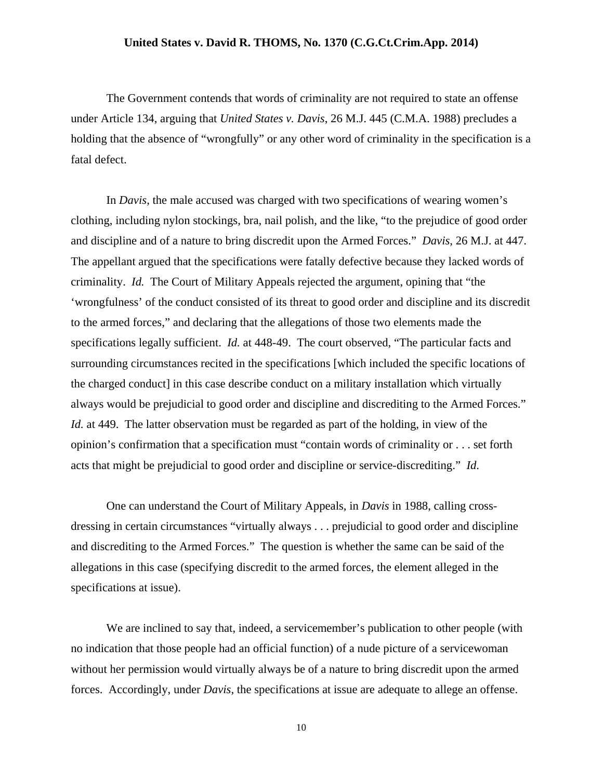The Government contends that words of criminality are not required to state an offense under Article 134, arguing that *United States v. Davis*, 26 M.J. 445 (C.M.A. 1988) precludes a holding that the absence of "wrongfully" or any other word of criminality in the specification is a fatal defect.

In *Davis*, the male accused was charged with two specifications of wearing women's clothing, including nylon stockings, bra, nail polish, and the like, "to the prejudice of good order and discipline and of a nature to bring discredit upon the Armed Forces." *Davis*, 26 M.J. at 447. The appellant argued that the specifications were fatally defective because they lacked words of criminality. *Id.* The Court of Military Appeals rejected the argument, opining that "the 'wrongfulness' of the conduct consisted of its threat to good order and discipline and its discredit to the armed forces," and declaring that the allegations of those two elements made the specifications legally sufficient. *Id.* at 448-49. The court observed, "The particular facts and surrounding circumstances recited in the specifications [which included the specific locations of the charged conduct] in this case describe conduct on a military installation which virtually always would be prejudicial to good order and discipline and discrediting to the Armed Forces." *Id.* at 449. The latter observation must be regarded as part of the holding, in view of the opinion's confirmation that a specification must "contain words of criminality or . . . set forth acts that might be prejudicial to good order and discipline or service-discrediting." *Id*.

One can understand the Court of Military Appeals, in *Davis* in 1988, calling crossdressing in certain circumstances "virtually always . . . prejudicial to good order and discipline and discrediting to the Armed Forces." The question is whether the same can be said of the allegations in this case (specifying discredit to the armed forces, the element alleged in the specifications at issue).

We are inclined to say that, indeed, a servicemember's publication to other people (with no indication that those people had an official function) of a nude picture of a servicewoman without her permission would virtually always be of a nature to bring discredit upon the armed forces. Accordingly, under *Davis*, the specifications at issue are adequate to allege an offense.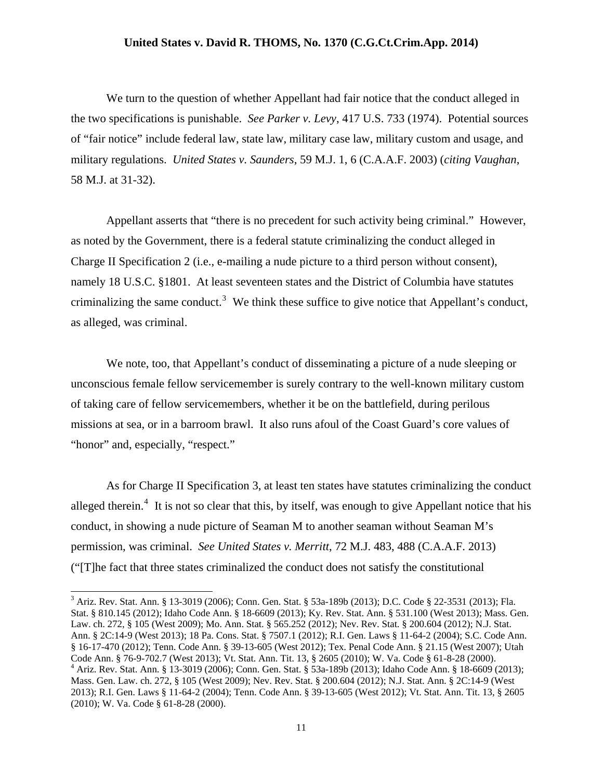We turn to the question of whether Appellant had fair notice that the conduct alleged in the two specifications is punishable. *See Parker v. Levy*, 417 U.S. 733 (1974). Potential sources of "fair notice" include federal law, state law, military case law, military custom and usage, and military regulations. *United States v. Saunders*, 59 M.J. 1, 6 (C.A.A.F. 2003) (*citing Vaughan*, 58 M.J. at 31-32).

Appellant asserts that "there is no precedent for such activity being criminal." However, as noted by the Government, there is a federal statute criminalizing the conduct alleged in Charge II Specification 2 (i.e., e-mailing a nude picture to a third person without consent), namely 18 U.S.C. §1801. At least seventeen states and the District of Columbia have statutes criminalizing the same conduct.<sup>[3](#page-10-0)</sup> We think these suffice to give notice that Appellant's conduct, as alleged, was criminal.

We note, too, that Appellant's conduct of disseminating a picture of a nude sleeping or unconscious female fellow servicemember is surely contrary to the well-known military custom of taking care of fellow servicemembers, whether it be on the battlefield, during perilous missions at sea, or in a barroom brawl. It also runs afoul of the Coast Guard's core values of "honor" and, especially, "respect."

As for Charge II Specification 3, at least ten states have statutes criminalizing the conduct alleged therein.<sup>[4](#page-10-1)</sup> It is not so clear that this, by itself, was enough to give Appellant notice that his conduct, in showing a nude picture of Seaman M to another seaman without Seaman M's permission, was criminal. *See United States v. Merritt*, 72 M.J. 483, 488 (C.A.A.F. 2013) ("[T]he fact that three states criminalized the conduct does not satisfy the constitutional

 $\overline{a}$ 

<span id="page-10-1"></span><span id="page-10-0"></span><sup>3</sup> Ariz. Rev. Stat. Ann. § 13-3019 (2006); Conn. Gen. Stat. § 53a-189b (2013); D.C. Code § 22-3531 (2013); Fla. Stat. § 810.145 (2012); Idaho Code Ann. § 18-6609 (2013); Ky. Rev. Stat. Ann. § 531.100 (West 2013); Mass. Gen. Law. ch. 272, § 105 (West 2009); Mo. Ann. Stat. § 565.252 (2012); Nev. Rev. Stat. § 200.604 (2012); N.J. Stat. Ann. § 2C:14-9 (West 2013); 18 Pa. Cons. Stat. § 7507.1 (2012); R.I. Gen. Laws § 11-64-2 (2004); S.C. Code Ann. § 16-17-470 (2012); Tenn. Code Ann. § 39-13-605 (West 2012); Tex. Penal Code Ann. § 21.15 (West 2007); Utah Code Ann. § 76-9-702.7 (West 2013); Vt. Stat. Ann. Tit. 13, § 2605 (2010); W. Va. Code § 61-8-28 (2000). 4 Ariz. Rev. Stat. Ann. § 13-3019 (2006); Conn. Gen. Stat. § 53a-189b (2013); Idaho Code Ann. § 18-6609 (2013); Mass. Gen. Law. ch. 272, § 105 (West 2009); Nev. Rev. Stat. § 200.604 (2012); N.J. Stat. Ann. § 2C:14-9 (West 2013); R.I. Gen. Laws § 11-64-2 (2004); Tenn. Code Ann. § 39-13-605 (West 2012); Vt. Stat. Ann. Tit. 13, § 2605 (2010); W. Va. Code § 61-8-28 (2000).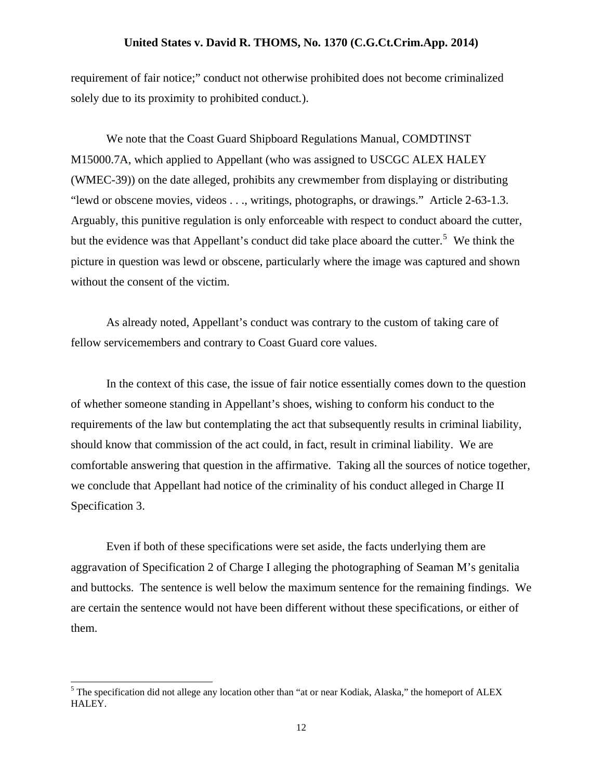requirement of fair notice;" conduct not otherwise prohibited does not become criminalized solely due to its proximity to prohibited conduct*.*).

We note that the Coast Guard Shipboard Regulations Manual, COMDTINST M15000.7A, which applied to Appellant (who was assigned to USCGC ALEX HALEY (WMEC-39)) on the date alleged, prohibits any crewmember from displaying or distributing "lewd or obscene movies, videos . . ., writings, photographs, or drawings." Article 2-63-1.3. Arguably, this punitive regulation is only enforceable with respect to conduct aboard the cutter, but the evidence was that Appellant's conduct did take place aboard the cutter.<sup>[5](#page-11-0)</sup> We think the picture in question was lewd or obscene, particularly where the image was captured and shown without the consent of the victim.

As already noted, Appellant's conduct was contrary to the custom of taking care of fellow servicemembers and contrary to Coast Guard core values.

In the context of this case, the issue of fair notice essentially comes down to the question of whether someone standing in Appellant's shoes, wishing to conform his conduct to the requirements of the law but contemplating the act that subsequently results in criminal liability, should know that commission of the act could, in fact, result in criminal liability. We are comfortable answering that question in the affirmative. Taking all the sources of notice together, we conclude that Appellant had notice of the criminality of his conduct alleged in Charge II Specification 3.

Even if both of these specifications were set aside, the facts underlying them are aggravation of Specification 2 of Charge I alleging the photographing of Seaman M's genitalia and buttocks. The sentence is well below the maximum sentence for the remaining findings. We are certain the sentence would not have been different without these specifications, or either of them.

<span id="page-11-0"></span><sup>&</sup>lt;sup>5</sup> The specification did not allege any location other than "at or near Kodiak, Alaska," the homeport of ALEX HALEY.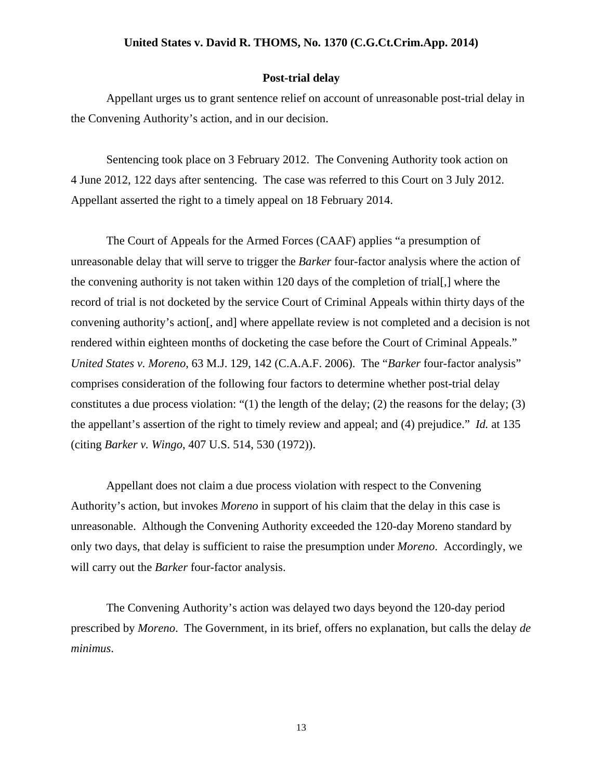#### **Post-trial delay**

Appellant urges us to grant sentence relief on account of unreasonable post-trial delay in the Convening Authority's action, and in our decision.

Sentencing took place on 3 February 2012. The Convening Authority took action on 4 June 2012, 122 days after sentencing. The case was referred to this Court on 3 July 2012. Appellant asserted the right to a timely appeal on 18 February 2014.

The Court of Appeals for the Armed Forces (CAAF) applies "a presumption of unreasonable delay that will serve to trigger the *Barker* four-factor analysis where the action of the convening authority is not taken within 120 days of the completion of trial[,] where the record of trial is not docketed by the service Court of Criminal Appeals within thirty days of the convening authority's action[, and] where appellate review is not completed and a decision is not rendered within eighteen months of docketing the case before the Court of Criminal Appeals." *United States v. Moreno*, 63 M.J. 129, 142 (C.A.A.F. 2006). The "*Barker* four-factor analysis" comprises consideration of the following four factors to determine whether post-trial delay constitutes a due process violation: "(1) the length of the delay; (2) the reasons for the delay; (3) the appellant's assertion of the right to timely review and appeal; and (4) prejudice." *Id.* at 135 (citing *Barker v. Wingo*, 407 U.S. 514, 530 (1972)).

Appellant does not claim a due process violation with respect to the Convening Authority's action, but invokes *Moreno* in support of his claim that the delay in this case is unreasonable. Although the Convening Authority exceeded the 120-day Moreno standard by only two days, that delay is sufficient to raise the presumption under *Moreno*. Accordingly, we will carry out the *Barker* four-factor analysis.

The Convening Authority's action was delayed two days beyond the 120-day period prescribed by *Moreno*. The Government, in its brief, offers no explanation, but calls the delay *de minimus*.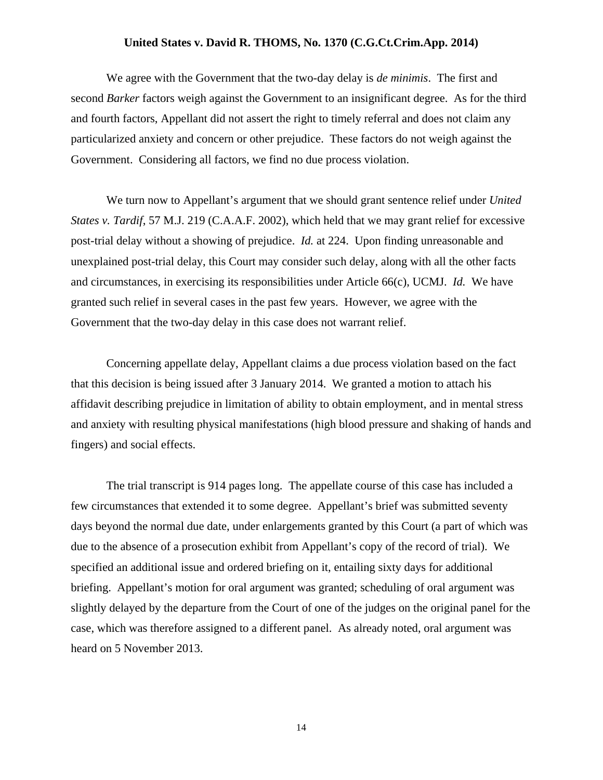We agree with the Government that the two-day delay is *de minimis*. The first and second *Barker* factors weigh against the Government to an insignificant degree. As for the third and fourth factors, Appellant did not assert the right to timely referral and does not claim any particularized anxiety and concern or other prejudice. These factors do not weigh against the Government. Considering all factors, we find no due process violation.

We turn now to Appellant's argument that we should grant sentence relief under *United States v. Tardif*, 57 M.J. 219 (C.A.A.F. 2002), which held that we may grant relief for excessive post-trial delay without a showing of prejudice. *Id.* at 224. Upon finding unreasonable and unexplained post-trial delay, this Court may consider such delay, along with all the other facts and circumstances, in exercising its responsibilities under Article 66(c), UCMJ. *Id.* We have granted such relief in several cases in the past few years. However, we agree with the Government that the two-day delay in this case does not warrant relief.

Concerning appellate delay, Appellant claims a due process violation based on the fact that this decision is being issued after 3 January 2014. We granted a motion to attach his affidavit describing prejudice in limitation of ability to obtain employment, and in mental stress and anxiety with resulting physical manifestations (high blood pressure and shaking of hands and fingers) and social effects.

The trial transcript is 914 pages long. The appellate course of this case has included a few circumstances that extended it to some degree. Appellant's brief was submitted seventy days beyond the normal due date, under enlargements granted by this Court (a part of which was due to the absence of a prosecution exhibit from Appellant's copy of the record of trial). We specified an additional issue and ordered briefing on it, entailing sixty days for additional briefing. Appellant's motion for oral argument was granted; scheduling of oral argument was slightly delayed by the departure from the Court of one of the judges on the original panel for the case, which was therefore assigned to a different panel. As already noted, oral argument was heard on 5 November 2013.